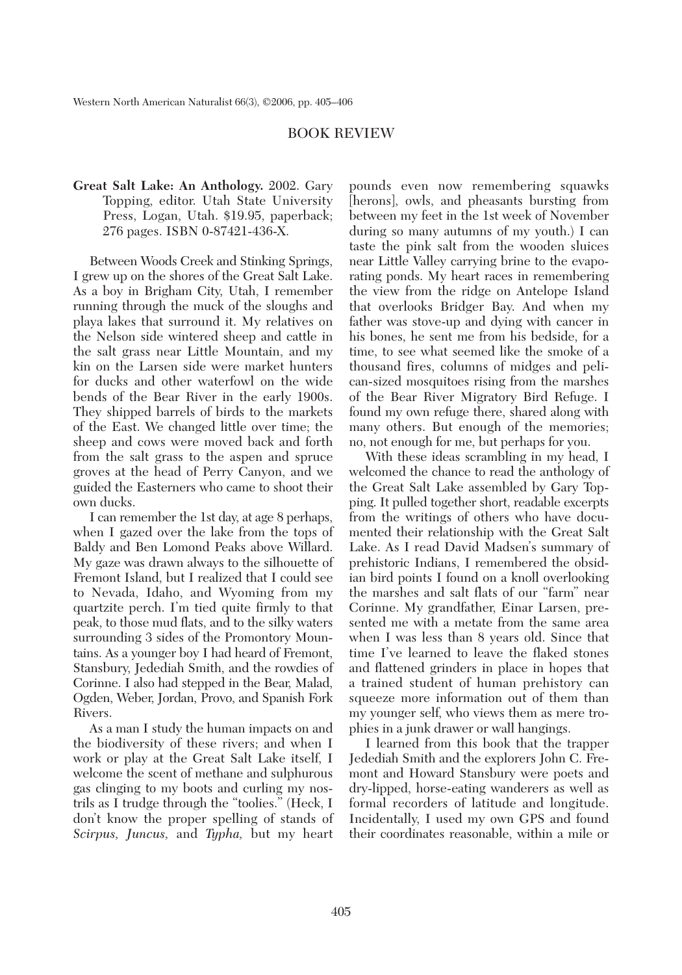## BOOK REVIEW

## **Great Salt Lake: An Anthology.** 2002. Gary Topping, editor. Utah State University Press, Logan, Utah. \$19.95, paperback; 276 pages. ISBN 0-87421-436-X.

Between Woods Creek and Stinking Springs, I grew up on the shores of the Great Salt Lake. As a boy in Brigham City, Utah, I remember running through the muck of the sloughs and playa lakes that surround it. My relatives on the Nelson side wintered sheep and cattle in the salt grass near Little Mountain, and my kin on the Larsen side were market hunters for ducks and other waterfowl on the wide bends of the Bear River in the early 1900s. They shipped barrels of birds to the markets of the East. We changed little over time; the sheep and cows were moved back and forth from the salt grass to the aspen and spruce groves at the head of Perry Canyon, and we guided the Easterners who came to shoot their own ducks.

I can remember the 1st day, at age 8 perhaps, when I gazed over the lake from the tops of Baldy and Ben Lomond Peaks above Willard. My gaze was drawn always to the silhouette of Fremont Island, but I realized that I could see to Nevada, Idaho, and Wyoming from my quartzite perch. I'm tied quite firmly to that peak, to those mud flats, and to the silky waters surrounding 3 sides of the Promontory Mountains. As a younger boy I had heard of Fremont, Stansbury, Jedediah Smith, and the rowdies of Corinne. I also had stepped in the Bear, Malad, Ogden, Weber, Jordan, Provo, and Spanish Fork Rivers.

As a man I study the human impacts on and the biodiversity of these rivers; and when I work or play at the Great Salt Lake itself, I welcome the scent of methane and sulphurous gas clinging to my boots and curling my nostrils as I trudge through the "toolies." (Heck, I don't know the proper spelling of stands of *Scirpus, Juncus,* and *Typha,* but my heart

pounds even now remembering squawks [herons], owls, and pheasants bursting from between my feet in the 1st week of November during so many autumns of my youth.) I can taste the pink salt from the wooden sluices near Little Valley carrying brine to the evaporating ponds. My heart races in remembering the view from the ridge on Antelope Island that overlooks Bridger Bay. And when my father was stove-up and dying with cancer in his bones, he sent me from his bedside, for a time, to see what seemed like the smoke of a thousand fires, columns of midges and pelican-sized mosquitoes rising from the marshes of the Bear River Migratory Bird Refuge. I found my own refuge there, shared along with many others. But enough of the memories; no, not enough for me, but perhaps for you.

With these ideas scrambling in my head, I welcomed the chance to read the anthology of the Great Salt Lake assembled by Gary Topping. It pulled together short, readable excerpts from the writings of others who have documented their relationship with the Great Salt Lake. As I read David Madsen's summary of prehistoric Indians, I remembered the obsidian bird points I found on a knoll overlooking the marshes and salt flats of our "farm" near Corinne. My grandfather, Einar Larsen, presented me with a metate from the same area when I was less than 8 years old. Since that time I've learned to leave the flaked stones and flattened grinders in place in hopes that a trained student of human prehistory can squeeze more information out of them than my younger self, who views them as mere trophies in a junk drawer or wall hangings.

I learned from this book that the trapper Jedediah Smith and the explorers John C. Fremont and Howard Stansbury were poets and dry-lipped, horse-eating wanderers as well as formal recorders of latitude and longitude. Incidentally, I used my own GPS and found their coordinates reasonable, within a mile or